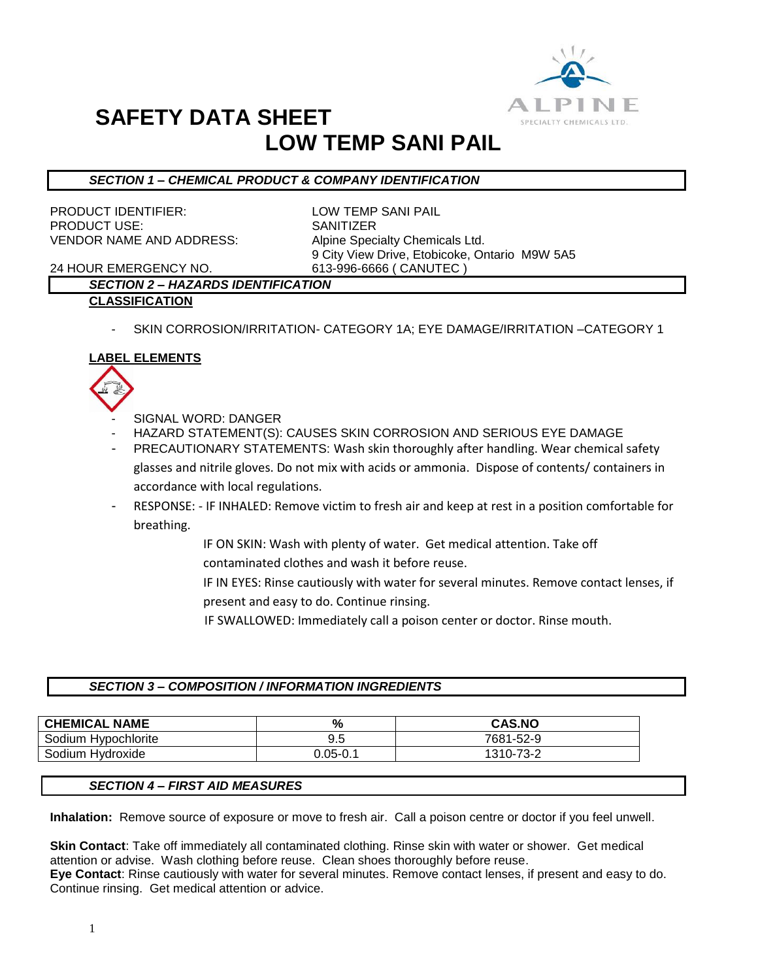

## **SAFETY DATA SHEET LOW TEMP SANI PAIL**

#### *SECTION 1 – CHEMICAL PRODUCT & COMPANY IDENTIFICATION*

PRODUCT IDENTIFIER: LOW TEMP SANI PAIL PRODUCT USE: SANITIZER VENDOR NAME AND ADDRESS: Alpine Specialty Chemicals Ltd.

9 City View Drive, Etobicoke, Ontario M9W 5A5

24 HOUR EMERGENCY NO. 613-996-6666 ( CANUTEC )

### *SECTION 2 – HAZARDS IDENTIFICATION*

- **CLASSIFICATION**
	- SKIN CORROSION/IRRITATION- CATEGORY 1A; EYE DAMAGE/IRRITATION -CATEGORY 1

#### **LABEL ELEMENTS**



- SIGNAL WORD: DANGER
- HAZARD STATEMENT(S): CAUSES SKIN CORROSION AND SERIOUS EYE DAMAGE
- PRECAUTIONARY STATEMENTS: Wash skin thoroughly after handling. Wear chemical safety glasses and nitrile gloves. Do not mix with acids or ammonia. Dispose of contents/ containers in accordance with local regulations.
- RESPONSE: IF INHALED: Remove victim to fresh air and keep at rest in a position comfortable for breathing.
	- IF ON SKIN: Wash with plenty of water. Get medical attention. Take off contaminated clothes and wash it before reuse.
	- IF IN EYES: Rinse cautiously with water for several minutes. Remove contact lenses, if present and easy to do. Continue rinsing.
	- IF SWALLOWED: Immediately call a poison center or doctor. Rinse mouth.

#### *SECTION 3 – COMPOSITION / INFORMATION INGREDIENTS*

| <b>CHEMICAL NAME</b> | %            | <b>CAS.NO</b> |
|----------------------|--------------|---------------|
| Sodium Hypochlorite  | -9.5         | 7681-52-9     |
| Sodium Hydroxide     | $J.05 - 0.1$ | 1310-73-2     |

#### *SECTION 4 – FIRST AID MEASURES*

**Inhalation:** Remove source of exposure or move to fresh air. Call a poison centre or doctor if you feel unwell.

**Skin Contact**: Take off immediately all contaminated clothing. Rinse skin with water or shower. Get medical attention or advise. Wash clothing before reuse. Clean shoes thoroughly before reuse. **Eye Contact**: Rinse cautiously with water for several minutes. Remove contact lenses, if present and easy to do. Continue rinsing. Get medical attention or advice.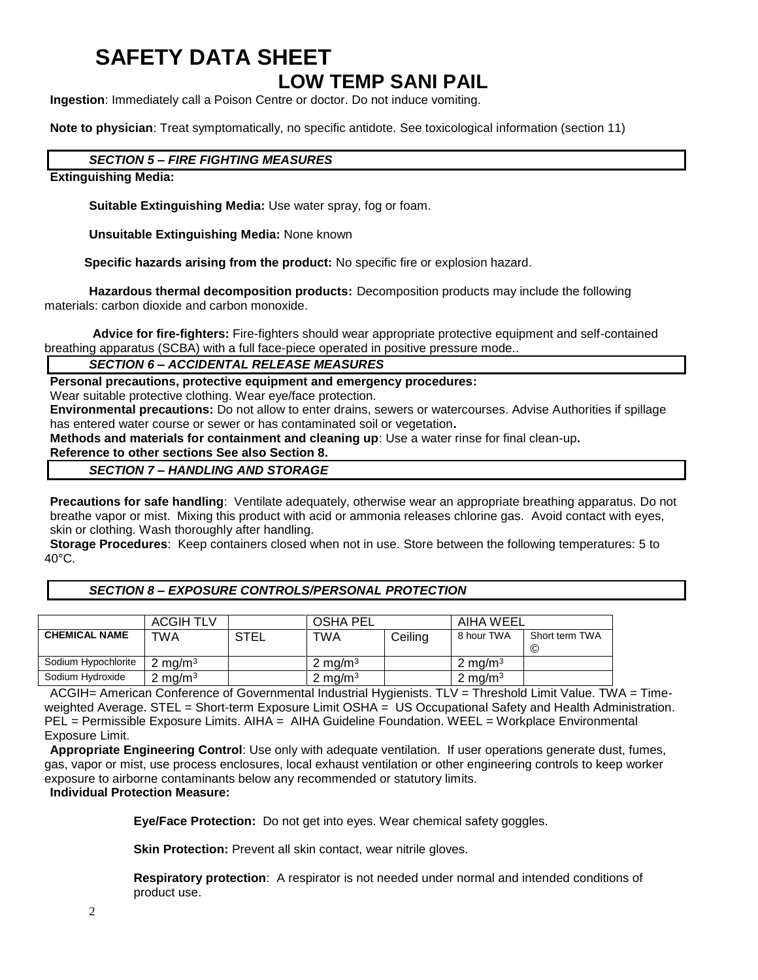## **SAFETY DATA SHEET LOW TEMP SANI PAIL**

**Ingestion**: Immediately call a Poison Centre or doctor. Do not induce vomiting.

**Note to physician**: Treat symptomatically, no specific antidote. See toxicological information (section 11)

#### *SECTION 5 – FIRE FIGHTING MEASURES*

#### **Extinguishing Media:**

**Suitable Extinguishing Media:** Use water spray, fog or foam.

**Unsuitable Extinguishing Media:** None known

 **Specific hazards arising from the product:** No specific fire or explosion hazard.

**Hazardous thermal decomposition products:** Decomposition products may include the following materials: carbon dioxide and carbon monoxide.

**Advice for fire-fighters:** Fire-fighters should wear appropriate protective equipment and self-contained breathing apparatus (SCBA) with a full face-piece operated in positive pressure mode..

#### *SECTION 6 – ACCIDENTAL RELEASE MEASURES*

**Personal precautions, protective equipment and emergency procedures:**

Wear suitable protective clothing. Wear eye/face protection.

**Environmental precautions:** Do not allow to enter drains, sewers or watercourses. Advise Authorities if spillage has entered water course or sewer or has contaminated soil or vegetation**.** 

**Methods and materials for containment and cleaning up**: Use a water rinse for final clean-up**.** 

### **Reference to other sections See also Section 8.**

*SECTION 7 – HANDLING AND STORAGE*

**Precautions for safe handling**: Ventilate adequately, otherwise wear an appropriate breathing apparatus. Do not breathe vapor or mist. Mixing this product with acid or ammonia releases chlorine gas. Avoid contact with eyes, skin or clothing. Wash thoroughly after handling.

**Storage Procedures**: Keep containers closed when not in use. Store between the following temperatures: 5 to 40°C.

#### *SECTION 8 – EXPOSURE CONTROLS/PERSONAL PROTECTION*

|                      | <b>ACGIH TLV</b><br><b>OSHA PEL</b> |             | AIHA WEEL          |         |                    |                      |
|----------------------|-------------------------------------|-------------|--------------------|---------|--------------------|----------------------|
| <b>CHEMICAL NAME</b> | TWA                                 | <b>STEL</b> | <b>TWA</b>         | Ceiling | 8 hour TWA         | Short term TWA<br>C) |
| Sodium Hypochlorite  | $2 \text{ mg/m}^3$                  |             | $2 \text{ mg/m}^3$ |         | $2 \text{ ma/m}^3$ |                      |
| Sodium Hydroxide     | 2 mg/m $^3$                         |             | 2 mg/m $3$         |         | 2 mg/m $3$         |                      |

ACGIH= American Conference of Governmental Industrial Hygienists. TLV = Threshold Limit Value. TWA = Timeweighted Average. STEL = Short-term Exposure Limit OSHA = US Occupational Safety and Health Administration. PEL = Permissible Exposure Limits. AIHA = AIHA Guideline Foundation. WEEL = Workplace Environmental Exposure Limit.

**Appropriate Engineering Control**: Use only with adequate ventilation. If user operations generate dust, fumes, gas, vapor or mist, use process enclosures, local exhaust ventilation or other engineering controls to keep worker exposure to airborne contaminants below any recommended or statutory limits.

#### **Individual Protection Measure:**

**Eye/Face Protection:** Do not get into eyes. Wear chemical safety goggles.

**Skin Protection:** Prevent all skin contact, wear nitrile gloves.

**Respiratory protection**: A respirator is not needed under normal and intended conditions of product use.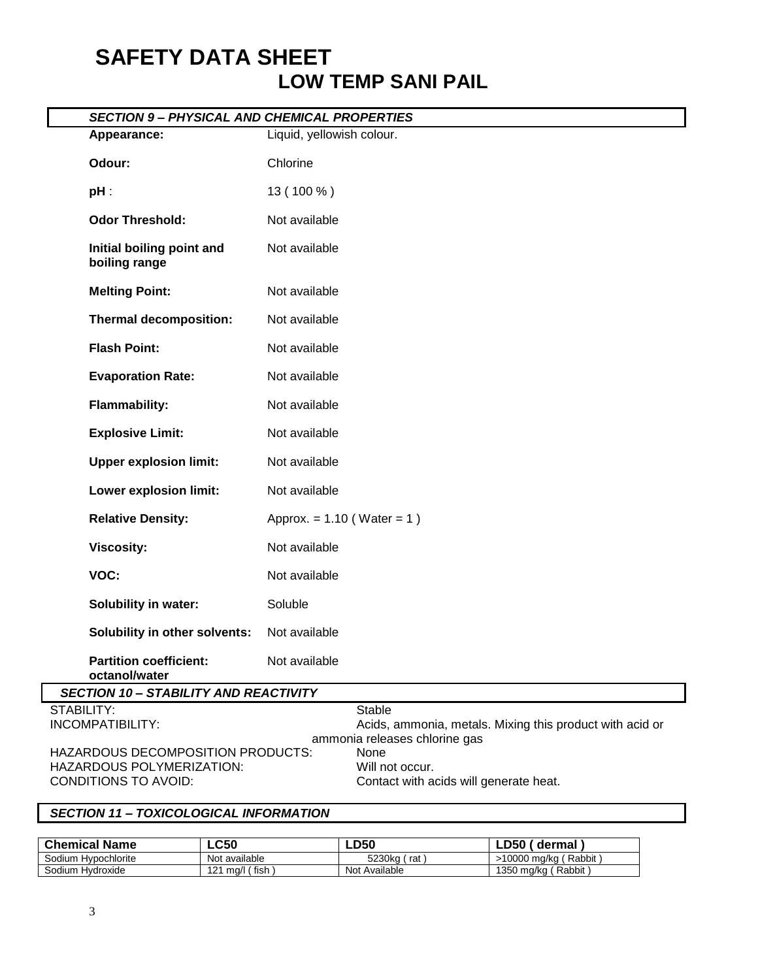# **SAFETY DATA SHEET LOW TEMP SANI PAIL**

|            | <b>SECTION 9- PHYSICAL AND CHEMICAL PROPERTIES</b>                                     |                                                                                                            |  |  |  |  |
|------------|----------------------------------------------------------------------------------------|------------------------------------------------------------------------------------------------------------|--|--|--|--|
|            | Appearance:                                                                            | Liquid, yellowish colour.                                                                                  |  |  |  |  |
|            | Odour:                                                                                 | Chlorine                                                                                                   |  |  |  |  |
|            | $pH$ :                                                                                 | 13 (100 %)                                                                                                 |  |  |  |  |
|            | <b>Odor Threshold:</b>                                                                 | Not available                                                                                              |  |  |  |  |
|            | Initial boiling point and<br>boiling range                                             | Not available                                                                                              |  |  |  |  |
|            | <b>Melting Point:</b>                                                                  | Not available                                                                                              |  |  |  |  |
|            | <b>Thermal decomposition:</b>                                                          | Not available                                                                                              |  |  |  |  |
|            | <b>Flash Point:</b>                                                                    | Not available                                                                                              |  |  |  |  |
|            | <b>Evaporation Rate:</b>                                                               | Not available                                                                                              |  |  |  |  |
|            | <b>Flammability:</b>                                                                   | Not available                                                                                              |  |  |  |  |
|            | <b>Explosive Limit:</b>                                                                | Not available                                                                                              |  |  |  |  |
|            | <b>Upper explosion limit:</b>                                                          | Not available                                                                                              |  |  |  |  |
|            | Lower explosion limit:                                                                 | Not available                                                                                              |  |  |  |  |
|            | <b>Relative Density:</b>                                                               | Approx. = $1.10$ (Water = 1)                                                                               |  |  |  |  |
|            | <b>Viscosity:</b>                                                                      | Not available                                                                                              |  |  |  |  |
|            | VOC:                                                                                   | Not available                                                                                              |  |  |  |  |
|            | Solubility in water:                                                                   | Soluble                                                                                                    |  |  |  |  |
|            | Solubility in other solvents:                                                          | Not available                                                                                              |  |  |  |  |
|            | <b>Partition coefficient:</b><br>octanol/water                                         | Not available                                                                                              |  |  |  |  |
|            | <b>SECTION 10 - STABILITY AND REACTIVITY</b>                                           |                                                                                                            |  |  |  |  |
| STABILITY: | INCOMPATIBILITY:                                                                       | <b>Stable</b><br>Acids, ammonia, metals. Mixing this product with acid or<br>ammonia releases chlorine gas |  |  |  |  |
|            | HAZARDOUS DECOMPOSITION PRODUCTS:<br>HAZARDOUS POLYMERIZATION:<br>CONDITIONS TO AVOID: | None<br>Will not occur.<br>Contact with acids will generate heat.                                          |  |  |  |  |

### *SECTION 11 – TOXICOLOGICAL INFORMATION*

| <b>Chemical Name</b>   | $\mathsf{L}\mathsf{C}50$ | ∟D50          | D50<br>dermal            |
|------------------------|--------------------------|---------------|--------------------------|
| Sodium<br>Hypochlorite | Not available            | 5230ka<br>rat | Rabbit<br>10000<br>ma/ka |
| Sodium<br>Hvdroxide    | fish<br>121<br>ma/l      | Not Available | Rabbit<br>1350 mg/kg     |